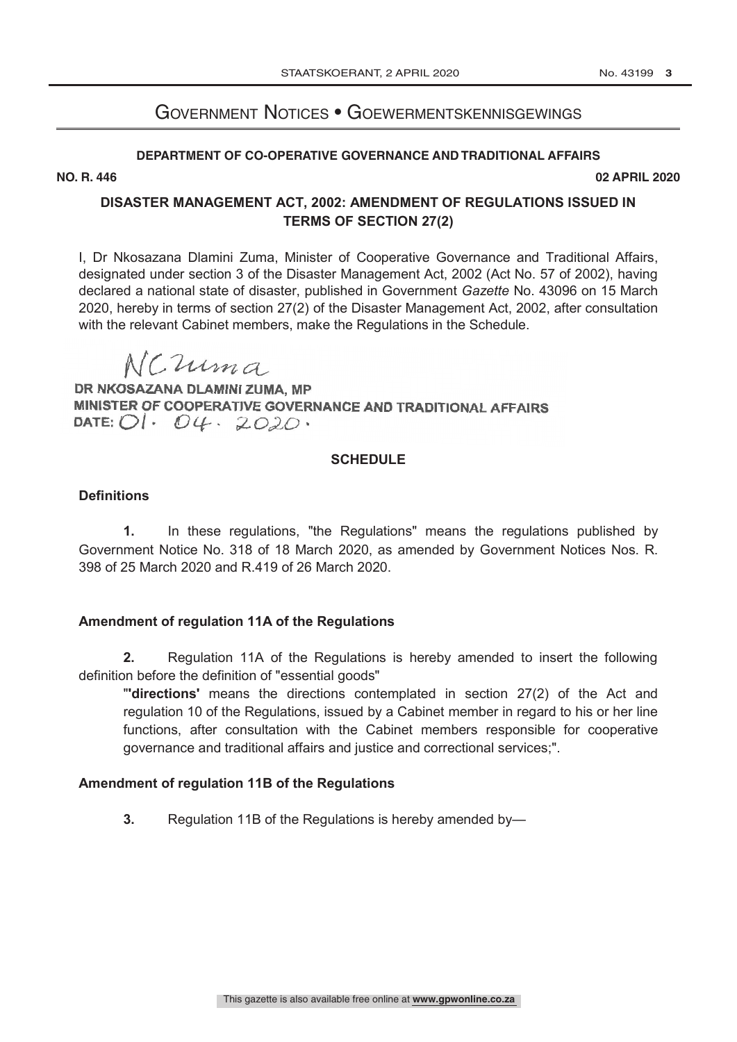# GOVERNMENT NOTICES · GOEWERMENTSKENNISGEWINGS

# **DEPARTMENT OF CO-OPERATIVE GOVERNANCE AND TRADITIONAL AFFAIRS**

**NO. R. 446 02 APRIL 2020**

# **DISASTER MANAGEMENT ACT, 2002: AMENDMENT OF REGULATIONS ISSUED IN TERMS OF SECTION 27(2)**

I, Dr Nkosazana Dlamini Zuma, Minister of Cooperative Governance and Traditional Affairs, designated under section 3 of the Disaster Management Act, 2002 (Act No. 57 of 2002), having declared a national state of disaster, published in Government *Gazette* No. 43096 on 15 March 2020, hereby in terms of section 27(2) of the Disaster Management Act, 2002, after consultation with the relevant Cabinet members, make the Regulations in the Schedule.

NCuma

DR NKOSAZANA DLAMINI ZUMA, MP **DR NKOSAZANA DLAMINI ZUMA, MP**  MINISTER OF COOPERATIVE GOVERNANCE AND TRADITIONAL AFFAIRS<br>DATE: *OI · O4 · 2020* · DATE:  $OI·$   $O4·$   $2O2O·$ 

# **SCHEDULE**

# **Definitions**

**1.** In these regulations, "the Regulations" means the regulations published by Government Notice No. 318 of 18 March 2020, as amended by Government Notices Nos. R. 398 of 25 March 2020 and R.419 of 26 March 2020.

# **Amendment of regulation 11A of the Regulations**

**2.** Regulation 11A of the Regulations is hereby amended to insert the following definition before the definition of "essential goods"

"**'directions'** means the directions contemplated in section 27(2) of the Act and regulation 10 of the Regulations, issued by a Cabinet member in regard to his or her line functions, after consultation with the Cabinet members responsible for cooperative governance and traditional affairs and justice and correctional services;".

# **Amendment of regulation 11B of the Regulations**

**3.** Regulation 11B of the Regulations is hereby amended by—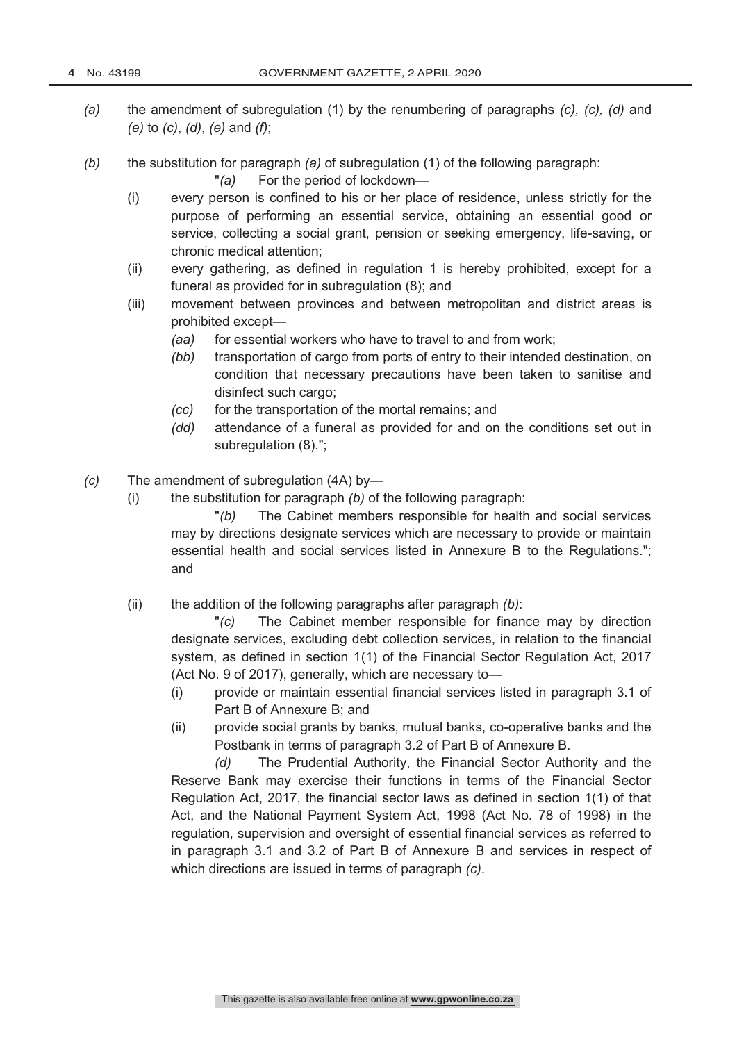- *(a)* the amendment of subregulation (1) by the renumbering of paragraphs *(c), (c), (d)* and *(e)* to *(c)*, *(d)*, *(e)* and *(f)*;
- *(b)* the substitution for paragraph *(a)* of subregulation (1) of the following paragraph:

"*(a)* For the period of lockdown—

- (i) every person is confined to his or her place of residence, unless strictly for the purpose of performing an essential service, obtaining an essential good or service, collecting a social grant, pension or seeking emergency, life-saving, or chronic medical attention;
- (ii) every gathering, as defined in regulation 1 is hereby prohibited, except for a funeral as provided for in subregulation (8); and
- (iii) movement between provinces and between metropolitan and district areas is prohibited except—
	- *(aa)* for essential workers who have to travel to and from work;
	- *(bb)* transportation of cargo from ports of entry to their intended destination, on condition that necessary precautions have been taken to sanitise and disinfect such cargo;
	- *(cc)* for the transportation of the mortal remains; and
	- *(dd)* attendance of a funeral as provided for and on the conditions set out in subregulation (8).";
- *(c)* The amendment of subregulation (4A) by—
	- (i) the substitution for paragraph *(b)* of the following paragraph:

"*(b)* The Cabinet members responsible for health and social services may by directions designate services which are necessary to provide or maintain essential health and social services listed in Annexure B to the Regulations."; and

(ii) the addition of the following paragraphs after paragraph *(b)*:

"*(c)* The Cabinet member responsible for finance may by direction designate services, excluding debt collection services, in relation to the financial system, as defined in section 1(1) of the Financial Sector Regulation Act, 2017 (Act No. 9 of 2017), generally, which are necessary to—

- (i) provide or maintain essential financial services listed in paragraph 3.1 of Part B of Annexure B; and
- (ii) provide social grants by banks, mutual banks, co-operative banks and the Postbank in terms of paragraph 3.2 of Part B of Annexure B.

*(d)* The Prudential Authority, the Financial Sector Authority and the Reserve Bank may exercise their functions in terms of the Financial Sector Regulation Act, 2017, the financial sector laws as defined in section 1(1) of that Act, and the National Payment System Act, 1998 (Act No. 78 of 1998) in the regulation, supervision and oversight of essential financial services as referred to in paragraph 3.1 and 3.2 of Part B of Annexure B and services in respect of which directions are issued in terms of paragraph *(c)*.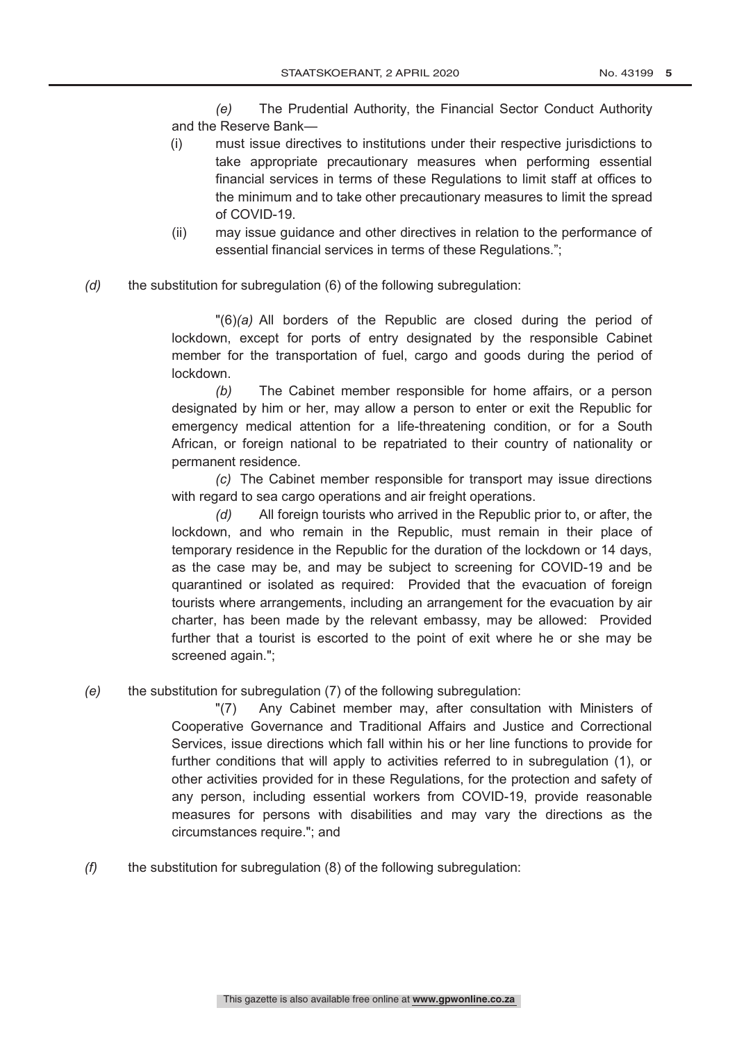*(e)* The Prudential Authority, the Financial Sector Conduct Authority and the Reserve Bank—

- (i) must issue directives to institutions under their respective jurisdictions to take appropriate precautionary measures when performing essential financial services in terms of these Regulations to limit staff at offices to the minimum and to take other precautionary measures to limit the spread of COVID-19.
- (ii) may issue guidance and other directives in relation to the performance of essential financial services in terms of these Regulations.";
- *(d)* the substitution for subregulation (6) of the following subregulation:

"(6)*(a)* All borders of the Republic are closed during the period of lockdown, except for ports of entry designated by the responsible Cabinet member for the transportation of fuel, cargo and goods during the period of lockdown.

*(b)* The Cabinet member responsible for home affairs, or a person designated by him or her, may allow a person to enter or exit the Republic for emergency medical attention for a life-threatening condition, or for a South African, or foreign national to be repatriated to their country of nationality or permanent residence.

*(c)* The Cabinet member responsible for transport may issue directions with regard to sea cargo operations and air freight operations.

*(d)* All foreign tourists who arrived in the Republic prior to, or after, the lockdown, and who remain in the Republic, must remain in their place of temporary residence in the Republic for the duration of the lockdown or 14 days, as the case may be, and may be subject to screening for COVID-19 and be quarantined or isolated as required: Provided that the evacuation of foreign tourists where arrangements, including an arrangement for the evacuation by air charter, has been made by the relevant embassy, may be allowed: Provided further that a tourist is escorted to the point of exit where he or she may be screened again.";

*(e)* the substitution for subregulation (7) of the following subregulation:

"(7) Any Cabinet member may, after consultation with Ministers of Cooperative Governance and Traditional Affairs and Justice and Correctional Services, issue directions which fall within his or her line functions to provide for further conditions that will apply to activities referred to in subregulation (1), or other activities provided for in these Regulations, for the protection and safety of any person, including essential workers from COVID-19, provide reasonable measures for persons with disabilities and may vary the directions as the circumstances require."; and

*(f)* the substitution for subregulation (8) of the following subregulation: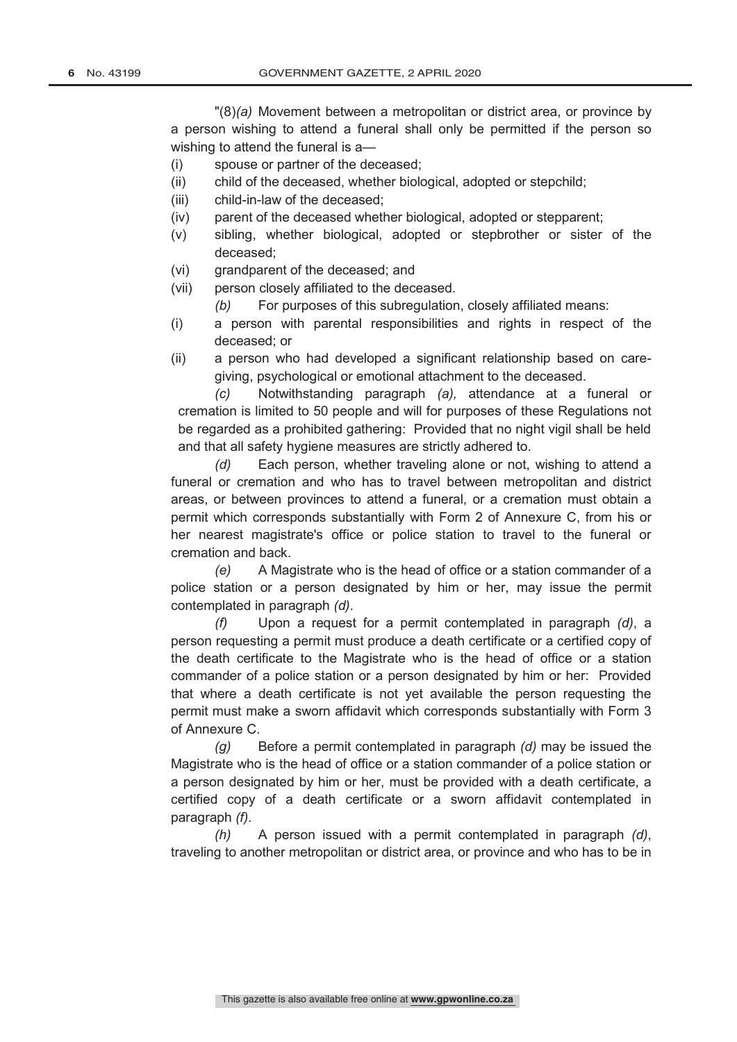"(8)*(a)* Movement between a metropolitan or district area, or province by a person wishing to attend a funeral shall only be permitted if the person so wishing to attend the funeral is a—

- (i) spouse or partner of the deceased;
- (ii) child of the deceased, whether biological, adopted or stepchild;
- (iii) child-in-law of the deceased;
- (iv) parent of the deceased whether biological, adopted or stepparent;
- (v) sibling, whether biological, adopted or stepbrother or sister of the deceased;
- (vi) grandparent of the deceased; and
- (vii) person closely affiliated to the deceased.
	- *(b)* For purposes of this subregulation, closely affiliated means:
- (i) a person with parental responsibilities and rights in respect of the deceased; or
- (ii) a person who had developed a significant relationship based on caregiving, psychological or emotional attachment to the deceased.

*(c)* Notwithstanding paragraph *(a),* attendance at a funeral or cremation is limited to 50 people and will for purposes of these Regulations not be regarded as a prohibited gathering: Provided that no night vigil shall be held and that all safety hygiene measures are strictly adhered to.

*(d)* Each person, whether traveling alone or not, wishing to attend a funeral or cremation and who has to travel between metropolitan and district areas, or between provinces to attend a funeral, or a cremation must obtain a permit which corresponds substantially with Form 2 of Annexure C, from his or her nearest magistrate's office or police station to travel to the funeral or cremation and back.

*(e)* A Magistrate who is the head of office or a station commander of a police station or a person designated by him or her, may issue the permit contemplated in paragraph *(d)*.

*(f)* Upon a request for a permit contemplated in paragraph *(d)*, a person requesting a permit must produce a death certificate or a certified copy of the death certificate to the Magistrate who is the head of office or a station commander of a police station or a person designated by him or her: Provided that where a death certificate is not yet available the person requesting the permit must make a sworn affidavit which corresponds substantially with Form 3 of Annexure C.

*(g)* Before a permit contemplated in paragraph *(d)* may be issued the Magistrate who is the head of office or a station commander of a police station or a person designated by him or her, must be provided with a death certificate, a certified copy of a death certificate or a sworn affidavit contemplated in paragraph *(f)*.

*(h)* A person issued with a permit contemplated in paragraph *(d)*, traveling to another metropolitan or district area, or province and who has to be in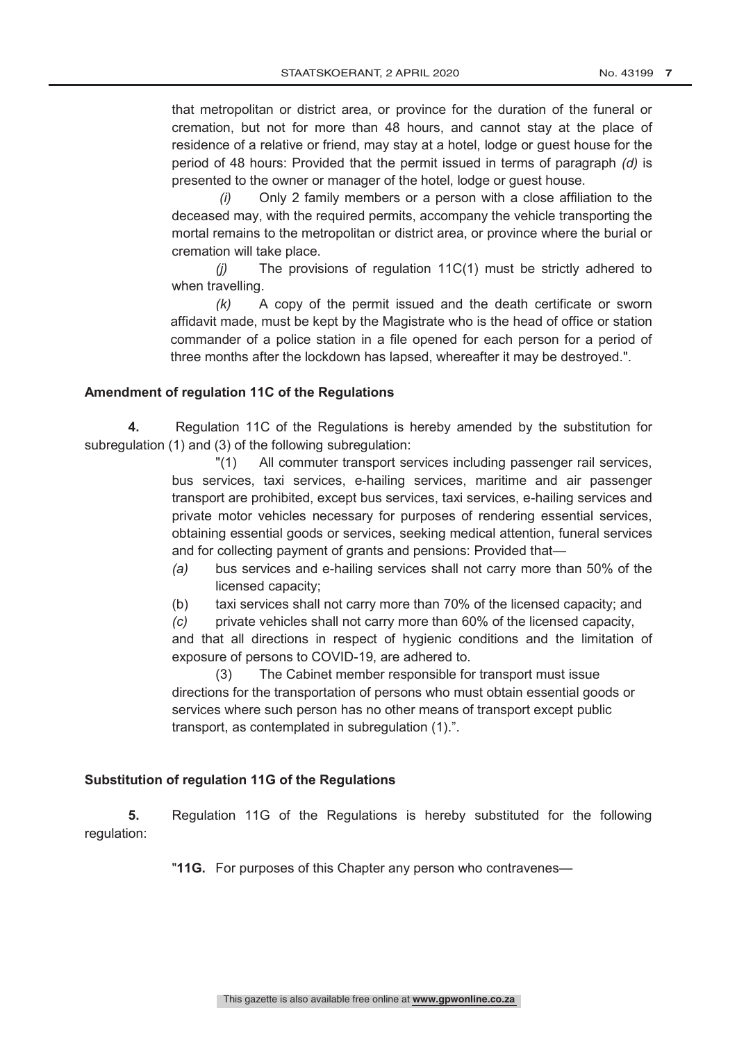that metropolitan or district area, or province for the duration of the funeral or cremation, but not for more than 48 hours, and cannot stay at the place of residence of a relative or friend, may stay at a hotel, lodge or guest house for the period of 48 hours: Provided that the permit issued in terms of paragraph *(d)* is presented to the owner or manager of the hotel, lodge or guest house.

*(i)* Only 2 family members or a person with a close affiliation to the deceased may, with the required permits, accompany the vehicle transporting the mortal remains to the metropolitan or district area, or province where the burial or cremation will take place.

*(j)* The provisions of regulation 11C(1) must be strictly adhered to when travelling.

*(k)* A copy of the permit issued and the death certificate or sworn affidavit made, must be kept by the Magistrate who is the head of office or station commander of a police station in a file opened for each person for a period of three months after the lockdown has lapsed, whereafter it may be destroyed.".

#### **Amendment of regulation 11C of the Regulations**

**4.** Regulation 11C of the Regulations is hereby amended by the substitution for subregulation (1) and (3) of the following subregulation:

> "(1) All commuter transport services including passenger rail services, bus services, taxi services, e-hailing services, maritime and air passenger transport are prohibited, except bus services, taxi services, e-hailing services and private motor vehicles necessary for purposes of rendering essential services, obtaining essential goods or services, seeking medical attention, funeral services and for collecting payment of grants and pensions: Provided that—

- *(a)* bus services and e-hailing services shall not carry more than 50% of the licensed capacity;
- (b) taxi services shall not carry more than 70% of the licensed capacity; and
- *(c)* private vehicles shall not carry more than 60% of the licensed capacity,

and that all directions in respect of hygienic conditions and the limitation of exposure of persons to COVID-19, are adhered to.

(3) The Cabinet member responsible for transport must issue directions for the transportation of persons who must obtain essential goods or services where such person has no other means of transport except public transport, as contemplated in subregulation (1).".

# **Substitution of regulation 11G of the Regulations**

**5.** Regulation 11G of the Regulations is hereby substituted for the following regulation:

"**11G.** For purposes of this Chapter any person who contravenes—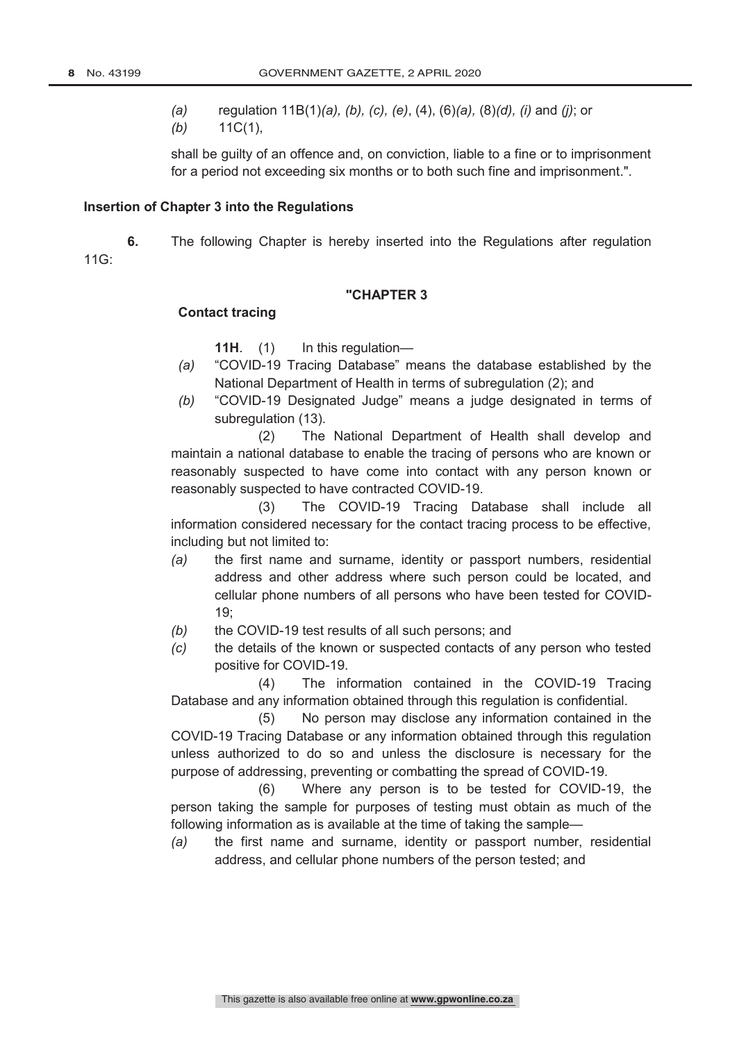11G:

- *(a)* regulation 11B(1)*(a), (b), (c), (e)*, (4), (6)*(a),* (8)*(d), (i)* and *(j)*; or
- *(b)* 11C(1),

shall be guilty of an offence and, on conviction, liable to a fine or to imprisonment for a period not exceeding six months or to both such fine and imprisonment.".

#### **Insertion of Chapter 3 into the Regulations**

**6.** The following Chapter is hereby inserted into the Regulations after regulation

#### **"CHAPTER 3**

#### **Contact tracing**

**11H**. (1) In this regulation—

- *(a)* "COVID-19 Tracing Database" means the database established by the National Department of Health in terms of subregulation (2); and
- *(b)* "COVID-19 Designated Judge" means a judge designated in terms of subregulation (13).

(2) The National Department of Health shall develop and maintain a national database to enable the tracing of persons who are known or reasonably suspected to have come into contact with any person known or reasonably suspected to have contracted COVID-19.

(3) The COVID-19 Tracing Database shall include all information considered necessary for the contact tracing process to be effective, including but not limited to:

- *(a)* the first name and surname, identity or passport numbers, residential address and other address where such person could be located, and cellular phone numbers of all persons who have been tested for COVID-19;
- *(b)* the COVID-19 test results of all such persons; and
- *(c)* the details of the known or suspected contacts of any person who tested positive for COVID-19.

(4) The information contained in the COVID-19 Tracing Database and any information obtained through this regulation is confidential.

(5) No person may disclose any information contained in the COVID-19 Tracing Database or any information obtained through this regulation unless authorized to do so and unless the disclosure is necessary for the purpose of addressing, preventing or combatting the spread of COVID-19.

(6) Where any person is to be tested for COVID-19, the person taking the sample for purposes of testing must obtain as much of the following information as is available at the time of taking the sample—

*(a)* the first name and surname, identity or passport number, residential address, and cellular phone numbers of the person tested; and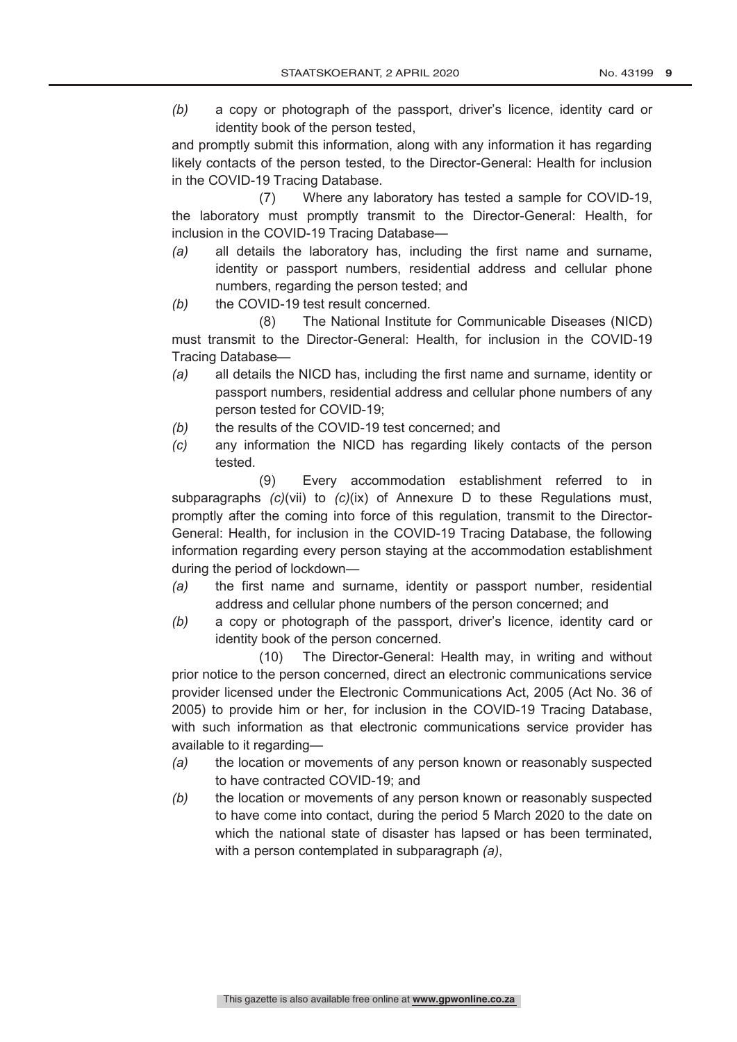*(b)* a copy or photograph of the passport, driver's licence, identity card or identity book of the person tested,

and promptly submit this information, along with any information it has regarding likely contacts of the person tested, to the Director-General: Health for inclusion in the COVID-19 Tracing Database.

(7) Where any laboratory has tested a sample for COVID-19, the laboratory must promptly transmit to the Director-General: Health, for inclusion in the COVID-19 Tracing Database—

- *(a)* all details the laboratory has, including the first name and surname, identity or passport numbers, residential address and cellular phone numbers, regarding the person tested; and
- *(b)* the COVID-19 test result concerned.

(8) The National Institute for Communicable Diseases (NICD) must transmit to the Director-General: Health, for inclusion in the COVID-19 Tracing Database—

- *(a)* all details the NICD has, including the first name and surname, identity or passport numbers, residential address and cellular phone numbers of any person tested for COVID-19;
- *(b)* the results of the COVID-19 test concerned; and
- *(c)* any information the NICD has regarding likely contacts of the person tested.

(9) Every accommodation establishment referred to in subparagraphs *(c)*(vii) to *(c)*(ix) of Annexure D to these Regulations must, promptly after the coming into force of this regulation, transmit to the Director-General: Health, for inclusion in the COVID-19 Tracing Database, the following information regarding every person staying at the accommodation establishment during the period of lockdown—

- *(a)* the first name and surname, identity or passport number, residential address and cellular phone numbers of the person concerned; and
- *(b)* a copy or photograph of the passport, driver's licence, identity card or identity book of the person concerned.

(10) The Director-General: Health may, in writing and without prior notice to the person concerned, direct an electronic communications service provider licensed under the Electronic Communications Act, 2005 (Act No. 36 of 2005) to provide him or her, for inclusion in the COVID-19 Tracing Database, with such information as that electronic communications service provider has available to it regarding—

- *(a)* the location or movements of any person known or reasonably suspected to have contracted COVID-19; and
- *(b)* the location or movements of any person known or reasonably suspected to have come into contact, during the period 5 March 2020 to the date on which the national state of disaster has lapsed or has been terminated, with a person contemplated in subparagraph *(a)*,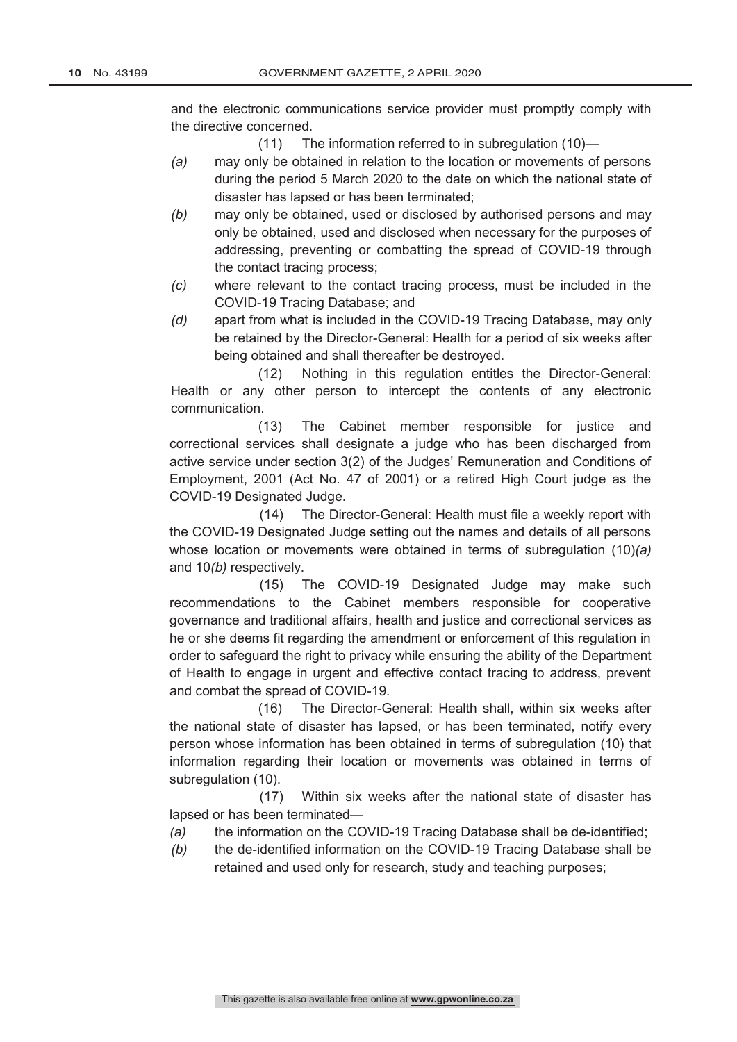and the electronic communications service provider must promptly comply with the directive concerned.

- (11) The information referred to in subregulation (10)—
- *(a)* may only be obtained in relation to the location or movements of persons during the period 5 March 2020 to the date on which the national state of disaster has lapsed or has been terminated;
- *(b)* may only be obtained, used or disclosed by authorised persons and may only be obtained, used and disclosed when necessary for the purposes of addressing, preventing or combatting the spread of COVID-19 through the contact tracing process;
- *(c)* where relevant to the contact tracing process, must be included in the COVID-19 Tracing Database; and
- *(d)* apart from what is included in the COVID-19 Tracing Database, may only be retained by the Director-General: Health for a period of six weeks after being obtained and shall thereafter be destroyed.

(12) Nothing in this regulation entitles the Director-General: Health or any other person to intercept the contents of any electronic communication.

(13) The Cabinet member responsible for justice and correctional services shall designate a judge who has been discharged from active service under section 3(2) of the Judges' Remuneration and Conditions of Employment, 2001 (Act No. 47 of 2001) or a retired High Court judge as the COVID-19 Designated Judge.

(14) The Director-General: Health must file a weekly report with the COVID-19 Designated Judge setting out the names and details of all persons whose location or movements were obtained in terms of subregulation (10)*(a)* and 10*(b)* respectively.

(15) The COVID-19 Designated Judge may make such recommendations to the Cabinet members responsible for cooperative governance and traditional affairs, health and justice and correctional services as he or she deems fit regarding the amendment or enforcement of this regulation in order to safeguard the right to privacy while ensuring the ability of the Department of Health to engage in urgent and effective contact tracing to address, prevent and combat the spread of COVID-19.

(16) The Director-General: Health shall, within six weeks after the national state of disaster has lapsed, or has been terminated, notify every person whose information has been obtained in terms of subregulation (10) that information regarding their location or movements was obtained in terms of subregulation (10).

(17) Within six weeks after the national state of disaster has lapsed or has been terminated—

- *(a)* the information on the COVID-19 Tracing Database shall be de-identified;
- *(b)* the de-identified information on the COVID-19 Tracing Database shall be retained and used only for research, study and teaching purposes;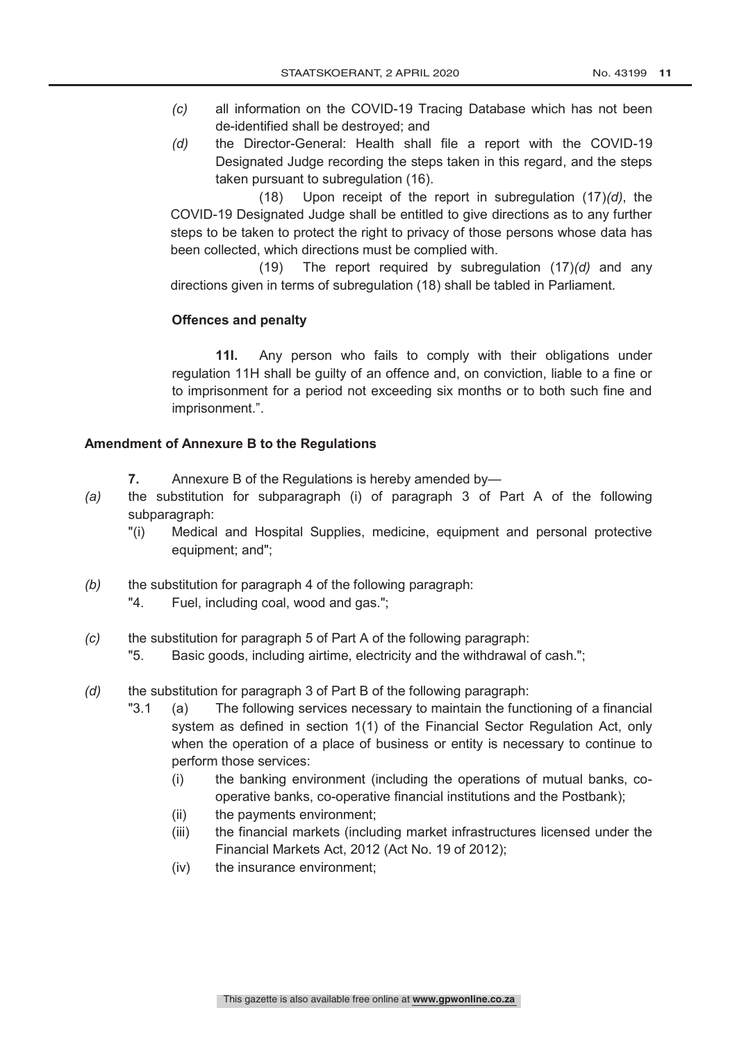- *(c)* all information on the COVID-19 Tracing Database which has not been de-identified shall be destroyed; and
- *(d)* the Director-General: Health shall file a report with the COVID-19 Designated Judge recording the steps taken in this regard, and the steps taken pursuant to subregulation (16).

(18) Upon receipt of the report in subregulation (17)*(d)*, the COVID-19 Designated Judge shall be entitled to give directions as to any further steps to be taken to protect the right to privacy of those persons whose data has been collected, which directions must be complied with.

(19) The report required by subregulation (17)*(d)* and any directions given in terms of subregulation (18) shall be tabled in Parliament.

# **Offences and penalty**

**11I.** Any person who fails to comply with their obligations under regulation 11H shall be guilty of an offence and, on conviction, liable to a fine or to imprisonment for a period not exceeding six months or to both such fine and imprisonment.".

### **Amendment of Annexure B to the Regulations**

- **7.** Annexure B of the Regulations is hereby amended by—
- *(a)* the substitution for subparagraph (i) of paragraph 3 of Part A of the following subparagraph:
	- "(i) Medical and Hospital Supplies, medicine, equipment and personal protective equipment; and";
- *(b)* the substitution for paragraph 4 of the following paragraph:
	- "4. Fuel, including coal, wood and gas.";
- *(c)* the substitution for paragraph 5 of Part A of the following paragraph:
	- "5. Basic goods, including airtime, electricity and the withdrawal of cash.";
- *(d)* the substitution for paragraph 3 of Part B of the following paragraph:
	- "3.1 (a) The following services necessary to maintain the functioning of a financial system as defined in section 1(1) of the Financial Sector Regulation Act, only when the operation of a place of business or entity is necessary to continue to perform those services:
		- (i) the banking environment (including the operations of mutual banks, cooperative banks, co-operative financial institutions and the Postbank);
		- (ii) the payments environment;
		- (iii) the financial markets (including market infrastructures licensed under the Financial Markets Act, 2012 (Act No. 19 of 2012);
		- (iv) the insurance environment;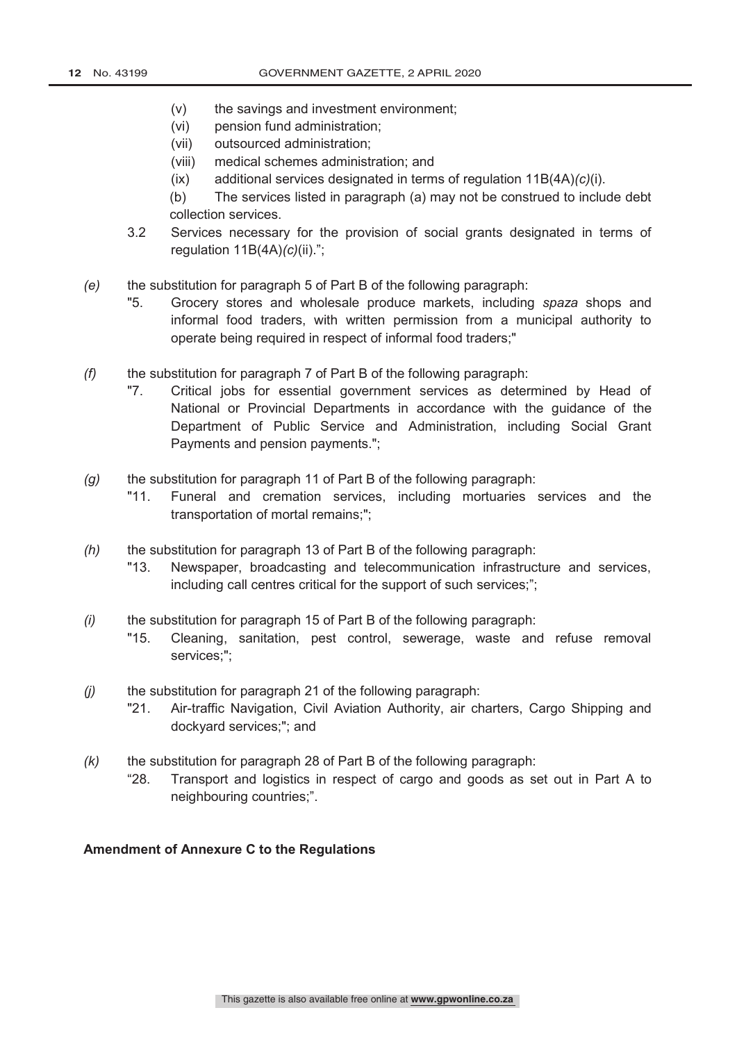- (v) the savings and investment environment;
- (vi) pension fund administration;
- (vii) outsourced administration;
- (viii) medical schemes administration; and
- (ix) additional services designated in terms of regulation 11B(4A)*(c)*(i).

(b) The services listed in paragraph (a) may not be construed to include debt collection services.

- 3.2 Services necessary for the provision of social grants designated in terms of regulation 11B(4A)*(c)*(ii).";
- *(e)* the substitution for paragraph 5 of Part B of the following paragraph:
	- "5. Grocery stores and wholesale produce markets, including *spaza* shops and informal food traders, with written permission from a municipal authority to operate being required in respect of informal food traders;"
- *(f)* the substitution for paragraph 7 of Part B of the following paragraph:
	- "7. Critical jobs for essential government services as determined by Head of National or Provincial Departments in accordance with the guidance of the Department of Public Service and Administration, including Social Grant Payments and pension payments.";
- *(g)* the substitution for paragraph 11 of Part B of the following paragraph:
	- "11. Funeral and cremation services, including mortuaries services and the transportation of mortal remains;";
- *(h)* the substitution for paragraph 13 of Part B of the following paragraph:
	- "13. Newspaper, broadcasting and telecommunication infrastructure and services, including call centres critical for the support of such services;";
- *(i)* the substitution for paragraph 15 of Part B of the following paragraph:
	- "15. Cleaning, sanitation, pest control, sewerage, waste and refuse removal services;";
- *(j)* the substitution for paragraph 21 of the following paragraph:
	- "21. Air-traffic Navigation, Civil Aviation Authority, air charters, Cargo Shipping and dockyard services;"; and
- *(k)* the substitution for paragraph 28 of Part B of the following paragraph:
	- "28. Transport and logistics in respect of cargo and goods as set out in Part A to neighbouring countries;".

#### **Amendment of Annexure C to the Regulations**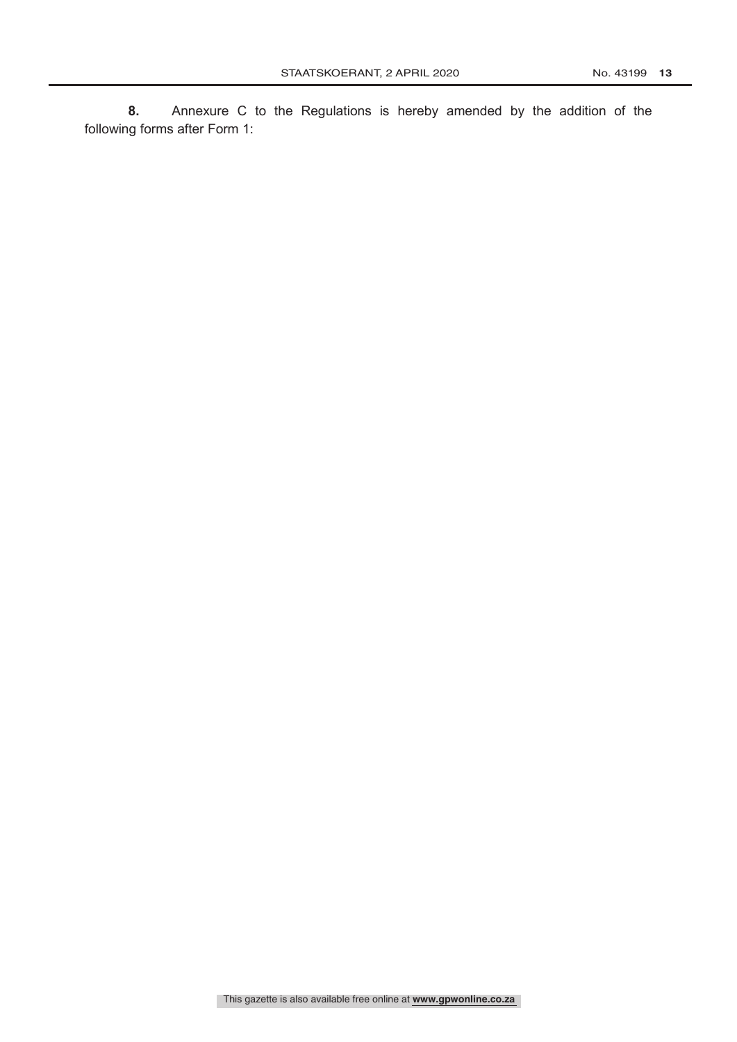**8.** Annexure C to the Regulations is hereby amended by the addition of the following forms after Form 1: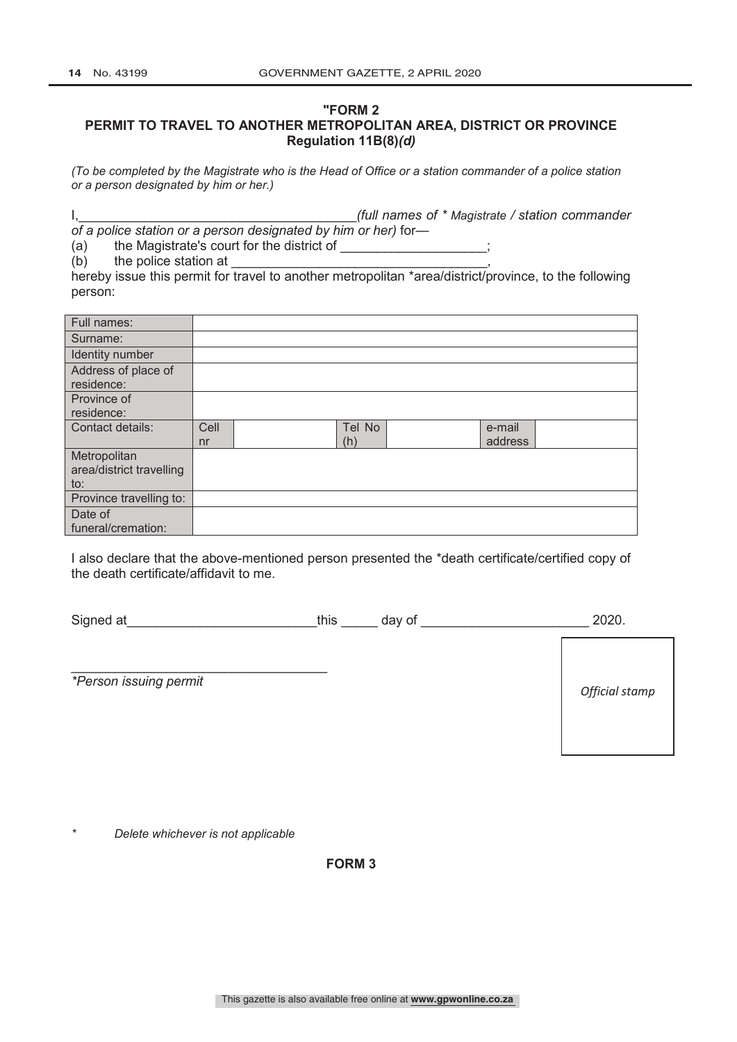### **"FORM 2 PERMIT TO TRAVEL TO ANOTHER METROPOLITAN AREA, DISTRICT OR PROVINCE Regulation 11B(8)***(d)*

*(To be completed by the Magistrate who is the Head of Office or a station commander of a police station or a person designated by him or her.)*

I,\_\_\_\_\_\_\_\_\_\_\_\_\_\_\_\_\_\_\_\_\_\_\_\_\_\_\_\_\_\_\_\_\_\_\_\_\_\_*(full names of \* Magistrate / station commander of a police station or a person designated by him or her)* for—

(a) the Magistrate's court for the district of \_\_\_\_\_\_\_\_\_\_\_\_\_\_\_\_\_\_\_\_\_\_\_\_\_\_\_\_\_\_\_\_\_\_

 $(b)$  the police station at  $\blacksquare$ 

hereby issue this permit for travel to another metropolitan \*area/district/province, to the following person:

| Full names:                                     |            |               |                   |
|-------------------------------------------------|------------|---------------|-------------------|
| Surname:                                        |            |               |                   |
| Identity number                                 |            |               |                   |
| Address of place of<br>residence:               |            |               |                   |
| Province of<br>residence:                       |            |               |                   |
| Contact details:                                | Cell<br>nr | Tel No<br>(h) | e-mail<br>address |
| Metropolitan<br>area/district travelling<br>to: |            |               |                   |
| Province travelling to:                         |            |               |                   |
| Date of                                         |            |               |                   |
| funeral/cremation:                              |            |               |                   |

I also declare that the above-mentioned person presented the \*death certificate/certified copy of the death certificate/affidavit to me.

Signed at this day of the state of the state of the state of the state of the state of the state of  $2020$ .

*\*Person issuing permit*

*Official stamp*

*\* Delete whichever is not applicable*

\_\_\_\_\_\_\_\_\_\_\_\_\_\_\_\_\_\_\_\_\_\_\_\_\_\_\_\_\_\_\_\_\_\_\_

**FORM 3**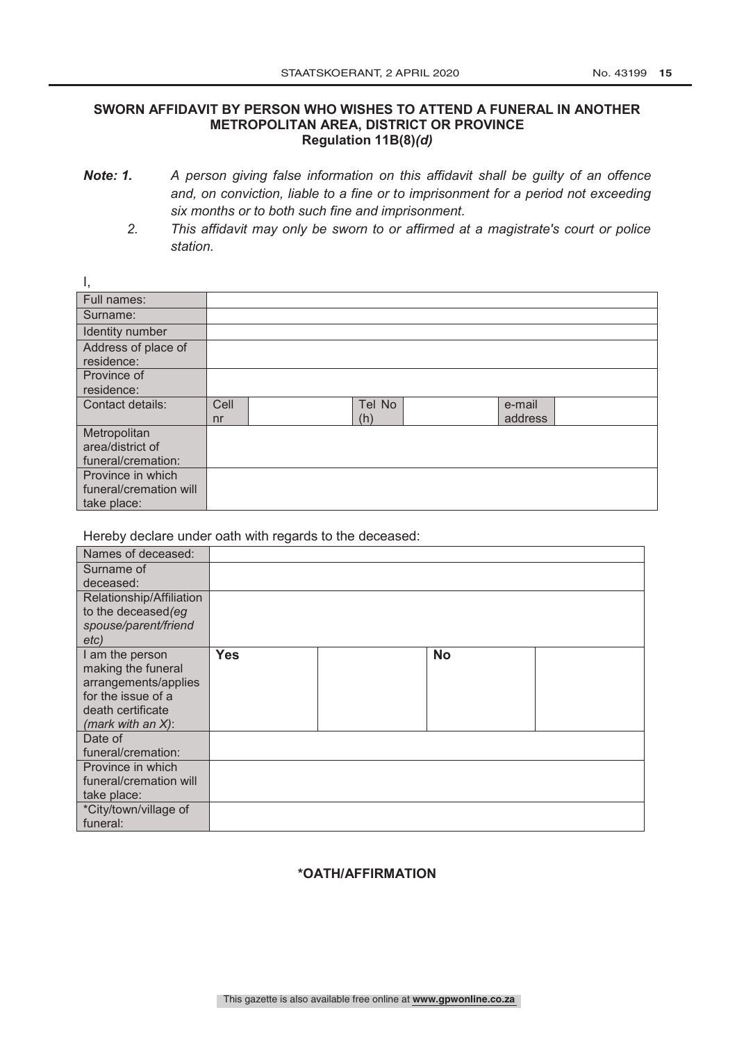#### **SWORN AFFIDAVIT BY PERSON WHO WISHES TO ATTEND A FUNERAL IN ANOTHER METROPOLITAN AREA, DISTRICT OR PROVINCE Regulation 11B(8)***(d)*

- *Note: 1. A person giving false information on this affidavit shall be guilty of an offence and, on conviction, liable to a fine or to imprisonment for a period not exceeding six months or to both such fine and imprisonment.*
	- *2. This affidavit may only be sworn to or affirmed at a magistrate's court or police station.*

| .,                     |                |        |         |
|------------------------|----------------|--------|---------|
| Full names:            |                |        |         |
| Surname:               |                |        |         |
| Identity number        |                |        |         |
| Address of place of    |                |        |         |
| residence:             |                |        |         |
| Province of            |                |        |         |
| residence:             |                |        |         |
| Contact details:       | Cell           | Tel No | e-mail  |
|                        | n <sub>r</sub> | (h)    | address |
| Metropolitan           |                |        |         |
| area/district of       |                |        |         |
| funeral/cremation:     |                |        |         |
| Province in which      |                |        |         |
| funeral/cremation will |                |        |         |
| take place:            |                |        |         |

Hereby declare under oath with regards to the deceased:

 $\overline{1}$ 

| Names of deceased:       |            |           |  |
|--------------------------|------------|-----------|--|
| Surname of               |            |           |  |
| deceased:                |            |           |  |
| Relationship/Affiliation |            |           |  |
| to the deceased (eg      |            |           |  |
| spouse/parent/friend     |            |           |  |
| etc)                     |            |           |  |
| I am the person          | <b>Yes</b> | <b>No</b> |  |
| making the funeral       |            |           |  |
| arrangements/applies     |            |           |  |
| for the issue of a       |            |           |  |
| death certificate        |            |           |  |
| (mark with an $X$ ):     |            |           |  |
| Date of                  |            |           |  |
| funeral/cremation:       |            |           |  |
| Province in which        |            |           |  |
| funeral/cremation will   |            |           |  |
| take place:              |            |           |  |
| *City/town/village of    |            |           |  |
| funeral:                 |            |           |  |

# **\*OATH/AFFIRMATION**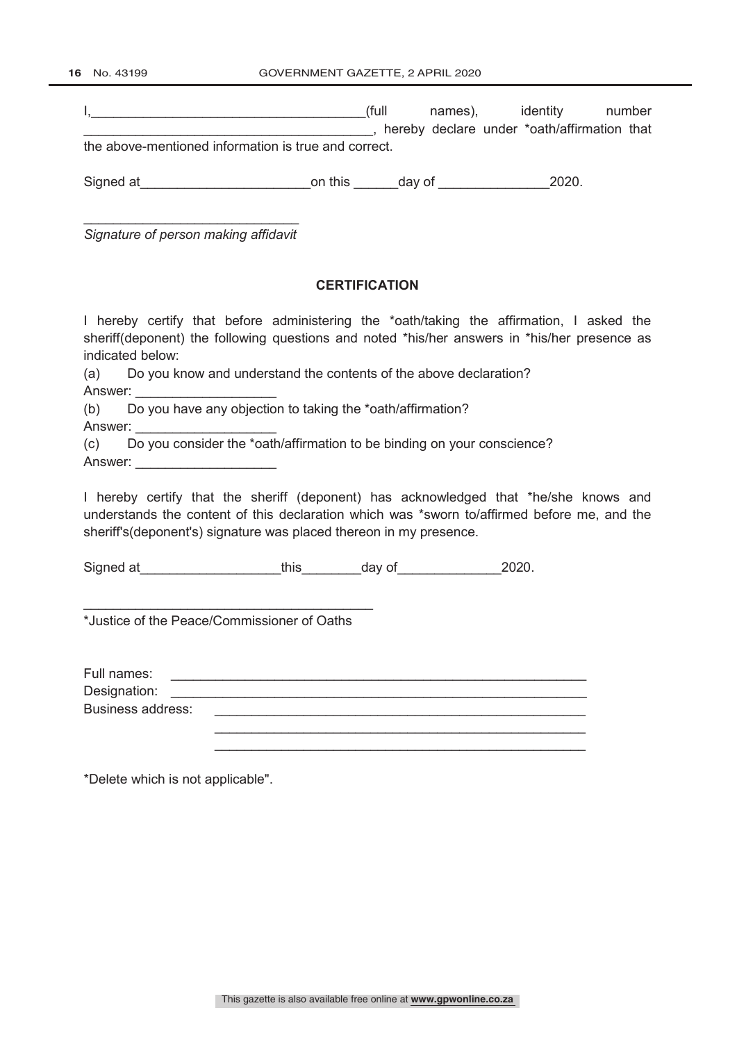16 No. 43199 **GOVERNMENT GAZETTE, 2 APRIL 2020** 

|                                                                                                                                                                                                                                                            | dentity number (full names), identity number<br>manager and the contract of the contract of the contract of the contract of the contract of the contract of the contract of the contract of the contract of the contract of the contract of the contract of the contract of th |  |  |  |  |
|------------------------------------------------------------------------------------------------------------------------------------------------------------------------------------------------------------------------------------------------------------|--------------------------------------------------------------------------------------------------------------------------------------------------------------------------------------------------------------------------------------------------------------------------------|--|--|--|--|
| the above-mentioned information is true and correct.                                                                                                                                                                                                       |                                                                                                                                                                                                                                                                                |  |  |  |  |
| Signed at ________________________________on this _________day of ______________________2020.                                                                                                                                                              |                                                                                                                                                                                                                                                                                |  |  |  |  |
| Signature of person making affidavit                                                                                                                                                                                                                       |                                                                                                                                                                                                                                                                                |  |  |  |  |
| <b>CERTIFICATION</b>                                                                                                                                                                                                                                       |                                                                                                                                                                                                                                                                                |  |  |  |  |
| I hereby certify that before administering the *oath/taking the affirmation, I asked the<br>sheriff(deponent) the following questions and noted *his/her answers in *his/her presence as<br>indicated below:                                               |                                                                                                                                                                                                                                                                                |  |  |  |  |
| (a) Do you know and understand the contents of the above declaration?                                                                                                                                                                                      |                                                                                                                                                                                                                                                                                |  |  |  |  |
| (b) Do you have any objection to taking the *oath/affirmation?<br>Answer: _________________________<br>(c) Do you consider the *oath/affirmation to be binding on your conscience?                                                                         |                                                                                                                                                                                                                                                                                |  |  |  |  |
| Answer: ________________________                                                                                                                                                                                                                           |                                                                                                                                                                                                                                                                                |  |  |  |  |
| I hereby certify that the sheriff (deponent) has acknowledged that *he/she knows and<br>understands the content of this declaration which was *sworn to/affirmed before me, and the<br>sheriff's (deponent's) signature was placed thereon in my presence. |                                                                                                                                                                                                                                                                                |  |  |  |  |
| Signed at ________________________this___________day of ______________________2020.                                                                                                                                                                        |                                                                                                                                                                                                                                                                                |  |  |  |  |
| *Justice of the Peace/Commissioner of Oaths                                                                                                                                                                                                                |                                                                                                                                                                                                                                                                                |  |  |  |  |
| Full names:<br>Designation:                                                                                                                                                                                                                                |                                                                                                                                                                                                                                                                                |  |  |  |  |
| <b>Business address:</b>                                                                                                                                                                                                                                   |                                                                                                                                                                                                                                                                                |  |  |  |  |
| *Delete which is not applicable".                                                                                                                                                                                                                          |                                                                                                                                                                                                                                                                                |  |  |  |  |